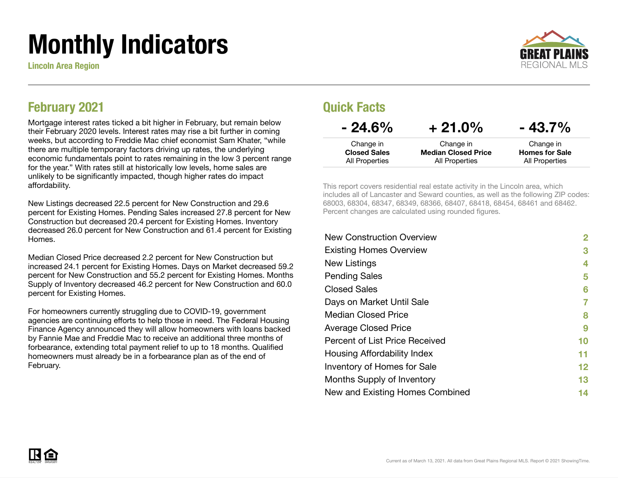# Monthly Indicators

Lincoln Area Region



#### February 2021

Mortgage interest rates ticked a bit higher in February, but remain below their February 2020 levels. Interest rates may rise a bit further in coming weeks, but according to Freddie Mac chief economist Sam Khater, "while there are multiple temporary factors driving up rates, the underlying economic fundamentals point to rates remaining in the low 3 percent range for the year." With rates still at historically low levels, home sales are unlikely to be significantly impacted, though higher rates do impact affordability.

New Listings decreased 22.5 percent for New Construction and 29.6 percent for Existing Homes. Pending Sales increased 27.8 percent for New Construction but decreased 20.4 percent for Existing Homes. Inventory decreased 26.0 percent for New Construction and 61.4 percent for Existing Homes.

Median Closed Price decreased 2.2 percent for New Construction but increased 24.1 percent for Existing Homes. Days on Market decreased 59.2 percent for New Construction and 55.2 percent for Existing Homes. Months Supply of Inventory decreased 46.2 percent for New Construction and 60.0 percent for Existing Homes.

For homeowners currently struggling due to COVID-19, government agencies are continuing efforts to help those in need. The Federal Housing Finance Agency announced they will allow homeowners with loans backed by Fannie Mae and Freddie Mac to receive an additional three months of forbearance, extending total payment relief to up to 18 months. Qualified homeowners must already be in a forbearance plan as of the end of February.

#### Quick Facts

| $-24.6\%$           | $+21.0\%$                  | $-43.7\%$             |
|---------------------|----------------------------|-----------------------|
| Change in           | Change in                  | Change in             |
| <b>Closed Sales</b> | <b>Median Closed Price</b> | <b>Homes for Sale</b> |
| All Properties      | All Properties             | All Properties        |

This report covers residential real estate activity in the Lincoln area, which includes all of Lancaster and Seward counties, as well as the following ZIP codes: 68003, 68304, 68347, 68349, 68366, 68407, 68418, 68454, 68461 and 68462. Percent changes are calculated using rounded figures.

| <b>New Construction Overview</b> | 2  |
|----------------------------------|----|
| <b>Existing Homes Overview</b>   | 3  |
| New Listings                     | 4  |
| <b>Pending Sales</b>             | 5  |
| <b>Closed Sales</b>              | 6  |
| Days on Market Until Sale        | 7  |
| Median Closed Price              | 8  |
| <b>Average Closed Price</b>      | 9  |
| Percent of List Price Received   | 10 |
| Housing Affordability Index      | 11 |
| Inventory of Homes for Sale      | 12 |
| Months Supply of Inventory       | 13 |
| New and Existing Homes Combined  | 14 |

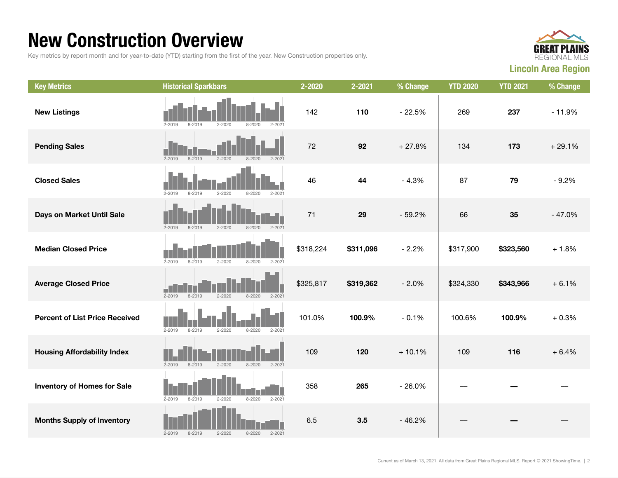### New Construction Overview

Key metrics by report month and for year-to-date (YTD) starting from the first of the year. New Construction properties only.



| <b>Key Metrics</b>                    | <b>Historical Sparkbars</b>                                        | 2-2020    | 2-2021    | % Change | <b>YTD 2020</b> | <b>YTD 2021</b> | % Change |
|---------------------------------------|--------------------------------------------------------------------|-----------|-----------|----------|-----------------|-----------------|----------|
| <b>New Listings</b>                   | 8-2019<br>$2 - 2020$<br>$8 - 2020$<br>$2 - 2019$<br>$2 - 202$      | 142       | 110       | $-22.5%$ | 269             | 237             | $-11.9%$ |
| <b>Pending Sales</b>                  | $8 - 2019$<br>$2 - 2020$<br>$8 - 2020$<br>$2 - 2019$<br>$2 - 2021$ | 72        | 92        | $+27.8%$ | 134             | 173             | $+29.1%$ |
| <b>Closed Sales</b>                   | $8 - 2019$<br>$2 - 2020$<br>$8 - 2020$<br>$2 - 2021$<br>$2 - 2019$ | 46        | 44        | $-4.3%$  | 87              | 79              | $-9.2%$  |
| Days on Market Until Sale             | $2 - 2019$<br>$2 - 2020$<br>$8 - 2019$<br>$8 - 2020$<br>$2 - 2021$ | 71        | 29        | $-59.2%$ | 66              | 35              | $-47.0%$ |
| <b>Median Closed Price</b>            | $2 - 2019$<br>$8 - 2019$<br>$2 - 2020$<br>$8 - 2020$<br>$2 - 2021$ | \$318,224 | \$311,096 | $-2.2%$  | \$317,900       | \$323,560       | $+1.8%$  |
| <b>Average Closed Price</b>           | $2 - 2020$<br>$2 - 2019$<br>8-2019<br>8-2020<br>$2 - 2021$         | \$325,817 | \$319,362 | $-2.0%$  | \$324,330       | \$343,966       | $+6.1%$  |
| <b>Percent of List Price Received</b> | $2 - 2019$<br>$8 - 2019$<br>$2 - 2020$<br>$8 - 2020$<br>$2 - 2021$ | 101.0%    | 100.9%    | $-0.1%$  | 100.6%          | 100.9%          | $+0.3%$  |
| <b>Housing Affordability Index</b>    | $2 - 2019$<br>$8 - 2019$<br>$2 - 2020$<br>$8 - 2020$<br>$2 - 2021$ | 109       | 120       | $+10.1%$ | 109             | 116             | $+6.4%$  |
| <b>Inventory of Homes for Sale</b>    | $2 - 2019$<br>$8 - 2019$<br>$2 - 2020$<br>$8 - 2020$<br>$2 - 2021$ | 358       | 265       | $-26.0%$ |                 |                 |          |
| <b>Months Supply of Inventory</b>     | 8-2019<br>$2 - 2020$<br>$8 - 2020$<br>$2 - 2021$<br>$2 - 2019$     | 6.5       | 3.5       | $-46.2%$ |                 |                 |          |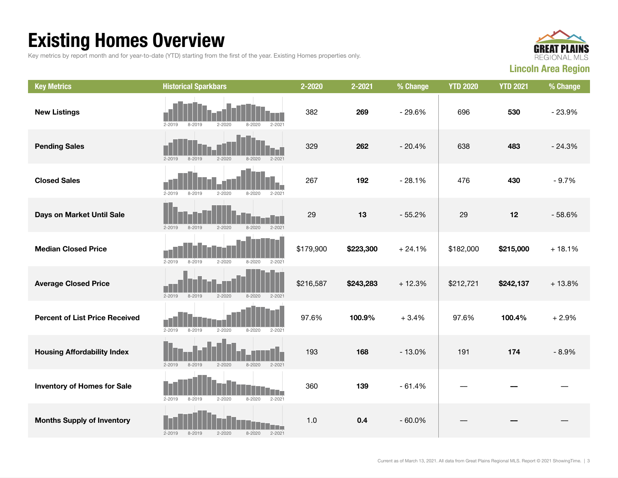## Existing Homes Overview

Key metrics by report month and for year-to-date (YTD) starting from the first of the year. Existing Homes properties only.



| <b>Key Metrics</b>                    | <b>Historical Sparkbars</b>                                        | 2-2020    | 2-2021    | % Change | <b>YTD 2020</b> | <b>YTD 2021</b> | % Change |
|---------------------------------------|--------------------------------------------------------------------|-----------|-----------|----------|-----------------|-----------------|----------|
| <b>New Listings</b>                   | $2 - 2019$<br>8-2019<br>$2 - 2020$<br>$2 - 202$<br>$8 - 2020$      | 382       | 269       | $-29.6%$ | 696             | 530             | $-23.9%$ |
| <b>Pending Sales</b>                  | $2 - 2019$<br>$8 - 2019$<br>$2 - 2020$<br>$8 - 2020$<br>$2 - 2021$ | 329       | 262       | $-20.4%$ | 638             | 483             | $-24.3%$ |
| <b>Closed Sales</b>                   | $2 - 2019$<br>$8 - 2019$<br>$2 - 2020$<br>$8 - 2020$<br>$2 - 202$  | 267       | 192       | $-28.1%$ | 476             | 430             | $-9.7%$  |
| Days on Market Until Sale             | $2 - 2019$<br>$8 - 2019$<br>$2 - 2020$<br>$8 - 2020$<br>$2 - 2021$ | 29        | 13        | $-55.2%$ | 29              | 12              | $-58.6%$ |
| <b>Median Closed Price</b>            | $2 - 2019$<br>$8 - 2019$<br>$2 - 2020$<br>$8 - 2020$<br>$2 - 2021$ | \$179,900 | \$223,300 | $+24.1%$ | \$182,000       | \$215,000       | $+18.1%$ |
| <b>Average Closed Price</b>           | $2 - 2019$<br>8-2019<br>$2 - 2020$<br>8-2020<br>$2 - 2021$         | \$216,587 | \$243,283 | $+12.3%$ | \$212,721       | \$242,137       | $+13.8%$ |
| <b>Percent of List Price Received</b> | $2 - 2019$<br>$8 - 2019$<br>$2 - 2020$<br>$8 - 2020$<br>$2 - 2021$ | 97.6%     | 100.9%    | $+3.4%$  | 97.6%           | 100.4%          | $+2.9%$  |
| <b>Housing Affordability Index</b>    | $2 - 2019$<br>$2 - 2020$<br>$8 - 2019$<br>$8 - 2020$<br>$2 - 2021$ | 193       | 168       | $-13.0%$ | 191             | 174             | $-8.9%$  |
| <b>Inventory of Homes for Sale</b>    | $2 - 2019$<br>$8 - 2019$<br>$2 - 2020$<br>$8 - 2020$<br>$2 - 2021$ | 360       | 139       | $-61.4%$ |                 |                 |          |
| <b>Months Supply of Inventory</b>     | $2 - 2021$<br>$2 - 2019$<br>$8 - 2019$<br>$2 - 2020$<br>$8 - 2020$ | 1.0       | 0.4       | $-60.0%$ |                 |                 |          |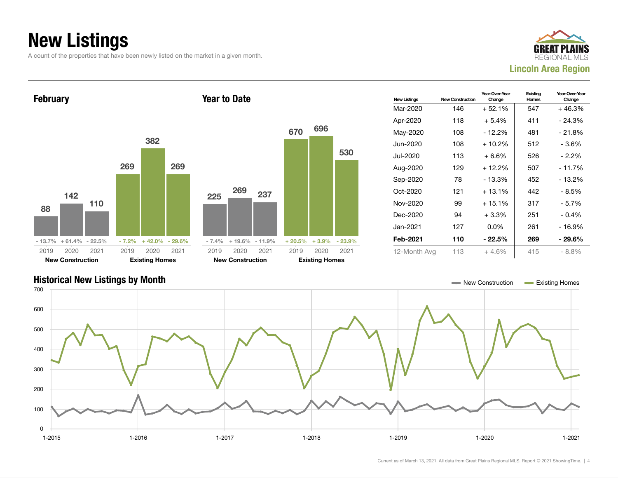## New Listings

A count of the properties that have been newly listed on the market in a given month.







Current as of March 13, 2021. All data from Great Plains Regional MLS. Report © 2021 ShowingTime. | 4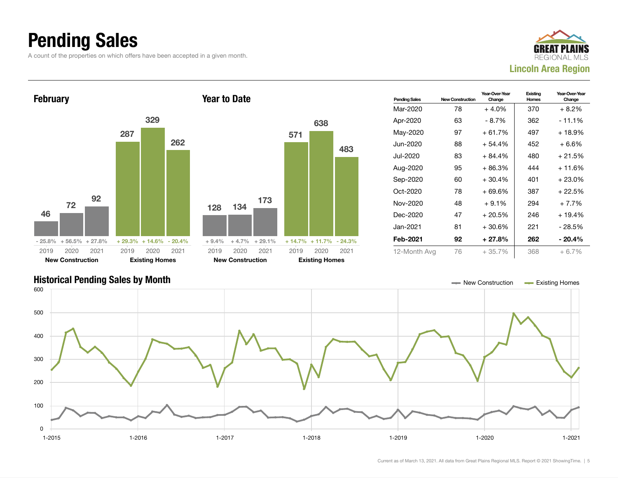### Pending Sales

A count of the properties on which offers have been accepted in a given month.





#### Historical Pending Sales by Month New York 2012 12:30 and the United States and the United States and Text and Text and Text and Text and Text and Text and Text and Text and Text and Text and Text and Text and Text and Tex 1-2015 1-2016 1-2017 1-2018 1-2019 1-2020 1-2021 0 100 200 300 400 500 600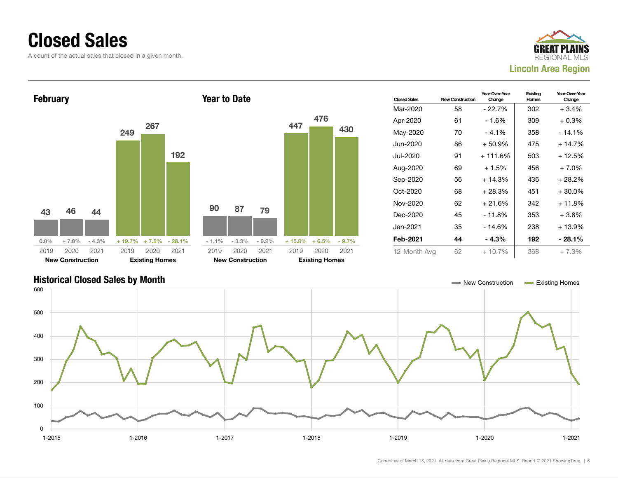#### Closed Sales

A count of the actual sales that closed in a given month.





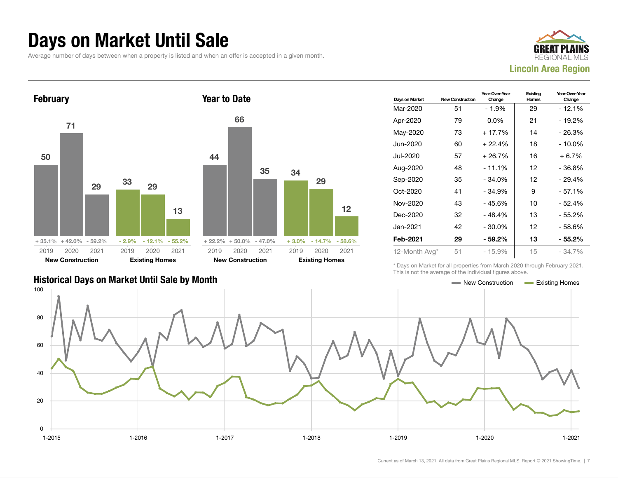#### Days on Market Until Sale

Average number of days between when a property is listed and when an offer is accepted in a given month.





#### Historical Days on Market Until Sale by Month New York New York New York New York New York New York New York New York New York New York New York New York New York New York New York New York New York New York New York New Y

| Days on Market | <b>New Construction</b> | Year-Over-Year<br>Change | Existing<br>Homes | Year-Over-Year<br>Change |
|----------------|-------------------------|--------------------------|-------------------|--------------------------|
| Mar-2020       | 51                      | - 1.9%                   | 29                | - 12.1%                  |
| Apr-2020       | 79                      | $0.0\%$                  | 21                | - 19.2%                  |
| May-2020       | 73                      | $+17.7%$                 | 14                | $-26.3%$                 |
| Jun-2020       | 60                      | $+22.4%$                 | 18                | - 10.0%                  |
| Jul-2020       | 57                      | + 26.7%                  | 16                | $+6.7\%$                 |
| Aug-2020       | 48                      | $-11.1%$                 | 12                | - 36.8%                  |
| Sep-2020       | 35                      | $-34.0%$                 | 12                | - 29.4%                  |
| Oct-2020       | 41                      | $-34.9%$                 | 9                 | $-57.1%$                 |
| Nov-2020       | 43                      | - 45.6%                  | 10                | - 52.4%                  |
| Dec-2020       | 32                      | $-48.4%$                 | 13                | - 55.2%                  |
| Jan-2021       | 42                      | $-30.0%$                 | 12                | - 58.6%                  |
| Feb-2021       | 29                      | $-59.2\%$                | 13                | - 55.2%                  |
| 12-Month Avg*  | 51                      | - 15.9%                  | 15                | - 34.7%                  |

\* Days on Market for all properties from March 2020 through February 2021. This is not the average of the individual figures above.

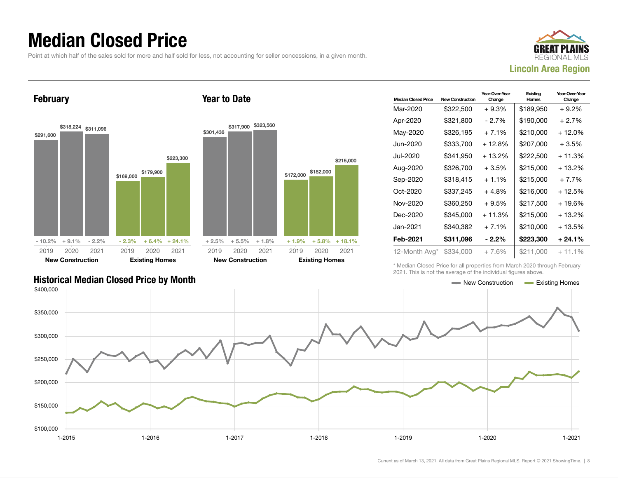### Median Closed Price

Point at which half of the sales sold for more and half sold for less, not accounting for seller concessions, in a given month.



February





| <b>Median Closed Price</b> | <b>New Construction</b> | Year-Over-Year<br>Change | Existing<br>Homes | Year-Over-Year<br>Change |
|----------------------------|-------------------------|--------------------------|-------------------|--------------------------|
| Mar-2020                   | \$322,500               | $+9.3%$                  | \$189,950         | + 9.2%                   |
| Apr-2020                   | \$321,800               | - 2.7%                   | \$190,000         | $+2.7%$                  |
| May-2020                   | \$326,195               | $+7.1%$                  | \$210,000         | + 12.0%                  |
| Jun-2020                   | \$333,700               | + 12.8%                  | \$207,000         | $+3.5%$                  |
| Jul-2020                   | \$341,950               | $+13.2%$                 | \$222,500         | $+11.3%$                 |
| Aug-2020                   | \$326.700               | $+3.5%$                  | \$215,000         | + 13.2%                  |
| Sep-2020                   | \$318,415               | $+1.1%$                  | \$215,000         | $+7.7%$                  |
| Oct-2020                   | \$337,245               | $+4.8%$                  | \$216,000         | $+12.5%$                 |
| Nov-2020                   | \$360,250               | $+9.5%$                  | \$217,500         | + 19.6%                  |
| Dec-2020                   | \$345,000               | $+11.3%$                 | \$215,000         | $+13.2%$                 |
| Jan-2021                   | \$340,382               | $+7.1%$                  | \$210,000         | + 13.5%                  |
| Feb-2021                   | \$311,096               | $-2.2\%$                 | \$223,300         | + 24.1%                  |
| 12-Month Avg*              | \$334,000               | + 7.6%                   | \$211,000         | $+11.1\%$                |

\* Median Closed Price for all properties from March 2020 through February 2021. This is not the average of the individual figures above.

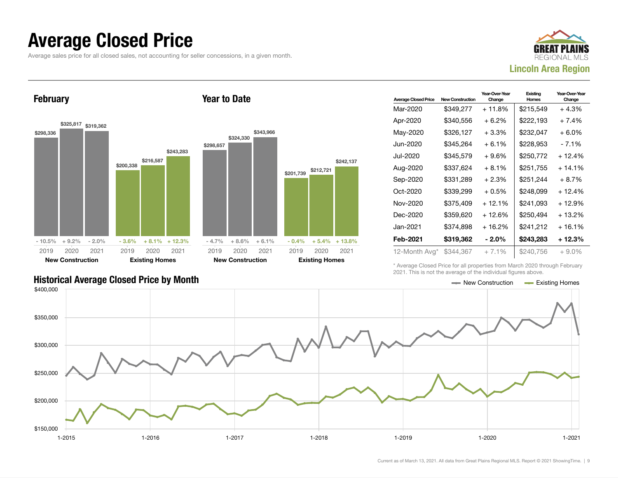#### Average Closed Price

Average sales price for all closed sales, not accounting for seller concessions, in a given month.



February



Year to Date

| <b>Average Closed Price</b> | <b>New Construction</b> | Year-Over-Year<br>Change | Existing<br>Homes | Year-Over-Year<br>Change |
|-----------------------------|-------------------------|--------------------------|-------------------|--------------------------|
| Mar-2020                    | \$349,277               | + 11.8%                  | \$215,549         | $+4.3%$                  |
| Apr-2020                    | \$340,556               | $+6.2\%$                 | \$222,193         | $+7.4%$                  |
| May-2020                    | \$326,127               | $+3.3\%$                 | \$232,047         | $+6.0\%$                 |
| Jun-2020                    | \$345,264               | $+6.1%$                  | \$228,953         | $-7.1%$                  |
| Jul-2020                    | \$345,579               | $+9.6%$                  | \$250,772         | $+12.4%$                 |
| Aug-2020                    | \$337,624               | $+8.1%$                  | \$251.755         | $+14.1\%$                |
| Sep-2020                    | \$331,289               | $+2.3%$                  | \$251,244         | $+8.7%$                  |
| Oct-2020                    | \$339,299               | $+0.5%$                  | \$248.099         | $+12.4%$                 |
| Nov-2020                    | \$375,409               | $+12.1%$                 | \$241,093         | $+12.9%$                 |
| Dec-2020                    | \$359,620               | $+12.6%$                 | \$250,494         | $+13.2%$                 |
| Jan-2021                    | \$374,898               | $+16.2%$                 | \$241,212         | $+16.1%$                 |
| Feb-2021                    | \$319,362               | - 2.0%                   | \$243,283         | $+12.3%$                 |
| 12-Month Avg*               | \$344,367               | $+7.1%$                  | \$240,756         | $+9.0\%$                 |

\* Average Closed Price for all properties from March 2020 through February 2021. This is not the average of the individual figures above.

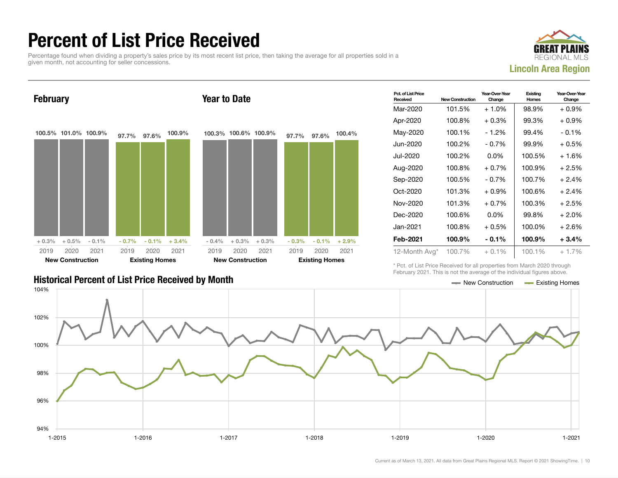### Percent of List Price Received

Percentage found when dividing a property's sales price by its most recent list price, then taking the average for all properties sold in a given month, not accounting for seller concessions.





| <b>Historical Percent of List Price Received by Month</b> | — New Construction | <b>Existing Homes</b> |
|-----------------------------------------------------------|--------------------|-----------------------|

| Pct. of List Price<br>Received | <b>New Construction</b> | Year-Over-Year<br>Change | Existing<br>Homes | Year-Over-Year<br>Change |
|--------------------------------|-------------------------|--------------------------|-------------------|--------------------------|
| Mar-2020                       | 101.5%                  | $+1.0\%$                 | 98.9%             | $+0.9\%$                 |
| Apr-2020                       | 100.8%                  | $+0.3\%$                 | 99.3%             | $+0.9\%$                 |
| May-2020                       | 100.1%                  | - 1.2%                   | 99.4%             | $-0.1\%$                 |
| Jun-2020                       | 100.2%                  | $-0.7\%$                 | 99.9%             | $+0.5%$                  |
| Jul-2020                       | 100.2%                  | $0.0\%$                  | 100.5%            | $+1.6%$                  |
| Aug-2020                       | 100.8%                  | $+0.7%$                  | 100.9%            | $+2.5%$                  |
| Sep-2020                       | 100.5%                  | $-0.7\%$                 | 100.7%            | $+2.4%$                  |
| Oct-2020                       | 101.3%                  | $+0.9\%$                 | 100.6%            | $+2.4%$                  |
| Nov-2020                       | 101.3%                  | $+0.7%$                  | 100.3%            | $+2.5%$                  |
| Dec-2020                       | 100.6%                  | $0.0\%$                  | 99.8%             | $+2.0%$                  |
| Jan-2021                       | 100.8%                  | $+0.5\%$                 | 100.0%            | $+2.6%$                  |
| Feb-2021                       | 100.9%                  | - 0.1%                   | 100.9%            | $+3.4%$                  |
| 12-Month Avg*                  | 100.7%                  | $+0.1%$                  | 100.1%            | $+1.7%$                  |

\* Pct. of List Price Received for all properties from March 2020 through February 2021. This is not the average of the individual figures above.

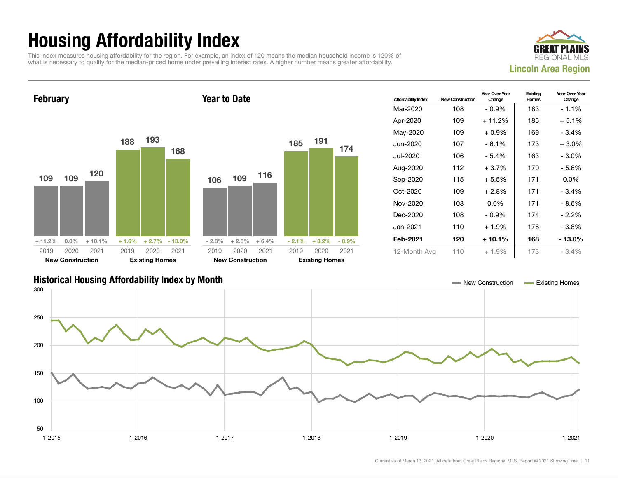## Housing Affordability Index

This index measures housing affordability for the region. For example, an index of 120 means the median household income is 120% of what is necessary to qualify for the median-priced home under prevailing interest rates. A higher number means greater affordability.





| <b>Affordability Index</b> | <b>New Construction</b> | Year-Over-Year<br>Change | Existing<br>Homes | Year-Over-Year<br>Change |
|----------------------------|-------------------------|--------------------------|-------------------|--------------------------|
| Mar-2020                   | 108                     | $-0.9\%$                 | 183               | $-1.1\%$                 |
| Apr-2020                   | 109                     | $+11.2%$                 | 185               | $+5.1%$                  |
| May-2020                   | 109                     | $+0.9\%$                 | 169               | $-3.4%$                  |
| Jun-2020                   | 107                     | - 6.1%                   | 173               | $+3.0\%$                 |
| Jul-2020                   | 106                     | - 5.4%                   | 163               | $-3.0\%$                 |
| Aug-2020                   | 112                     | $+3.7%$                  | 170               | - 5.6%                   |
| Sep-2020                   | 115                     | $+5.5%$                  | 171               | $0.0\%$                  |
| $Oct-2020$                 | 109                     | $+2.8\%$                 | 171               | $-3.4%$                  |
| Nov-2020                   | 103                     | $0.0\%$                  | 171               | - 8.6%                   |
| Dec-2020                   | 108                     | $-0.9%$                  | 174               | $-2.2\%$                 |
| Jan-2021.                  | 110                     | $+1.9%$                  | 178               | - 3.8%                   |
| Feb-2021                   | 120                     | $+10.1%$                 | 168               | - 13.0%                  |
| 12-Month Avg               | 110                     | $+1.9%$                  | 173               | $-3.4%$                  |

#### Historical Housing Affordability Index by Month New Construction Existing Homes

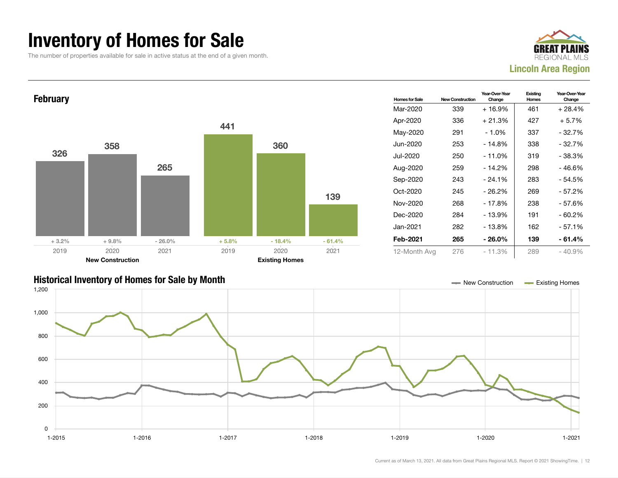### Inventory of Homes for Sale

The number of properties available for sale in active status at the end of a given month.





#### Historical Inventory of Homes for Sale by Month New Construction Existing Homes

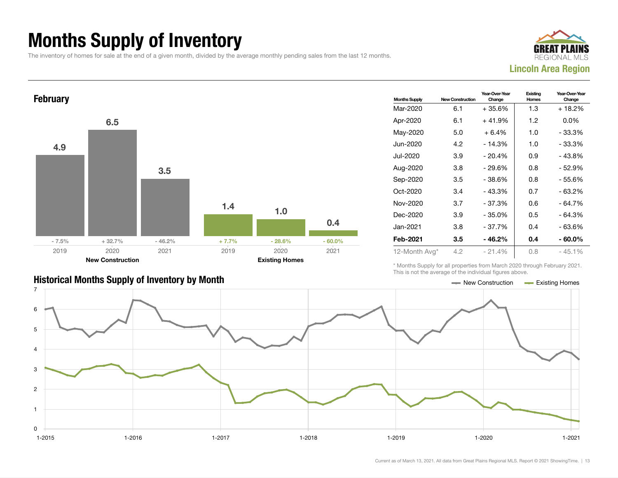## Months Supply of Inventory

The inventory of homes for sale at the end of a given month, divided by the average monthly pending sales from the last 12 months.





| <b>Historical Months Supply of Inventory by Month</b> | ← New Construction | <b>Existing Homes</b> |
|-------------------------------------------------------|--------------------|-----------------------|

| <b>Months Supply</b> | <b>New Construction</b> | Year-Over-Year<br>Change | Existing<br>Homes | Year-Over-Year<br>Change |  |
|----------------------|-------------------------|--------------------------|-------------------|--------------------------|--|
| Mar-2020             | 6.1                     | +35.6%                   | 1.3               | + 18.2%                  |  |
| Apr-2020             | 6.1                     | $+41.9%$                 | 1.2               | $0.0\%$                  |  |
| May-2020             | 5.0                     | $+6.4%$                  | 1.0               | - 33.3%                  |  |
| Jun-2020             | 4.2                     | $-14.3%$                 | 1.0               | - 33.3%                  |  |
| Jul-2020             | 3.9                     | $-20.4%$                 | 0.9               | - 43.8%                  |  |
| Aug-2020             | 3.8                     | - 29.6%                  | 0.8               | - 52.9%                  |  |
| Sep-2020             | 3.5                     | $-38.6%$                 | 0.8               | - 55.6%                  |  |
| $Oct-2020$           | 3.4                     | $-43.3%$                 | 0.7               | $-63.2%$                 |  |
| Nov-2020             | 3.7                     | - 37.3%                  | 0.6               | - 64.7%                  |  |
| Dec-2020             | 3.9                     | - 35.0%                  | 0.5               | - 64.3%                  |  |
| Jan-2021             | 3.8                     | - 37.7%                  | 0.4               | - 63.6%                  |  |
| Feb-2021             | 3.5                     | - 46.2%                  | 0.4               | $-60.0\%$                |  |
| 12-Month Avg*        | 4.2                     | $-21.4%$                 | 0.8               | $-45.1%$                 |  |

\* Months Supply for all properties from March 2020 through February 2021. This is not the average of the individual figures above.